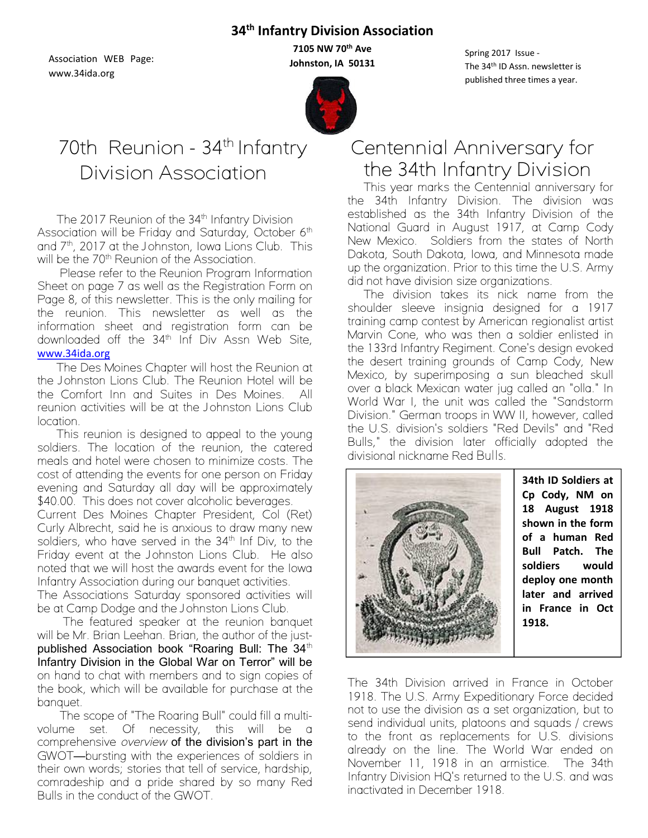### **34th Infantry Division Association**

Association WEB Page: www.34ida.org

**7105 NW 70th Ave Johnston, IA 50131**



Spring 2017 Issue - The 34th ID Assn. newsletter is published three times a year.

# 70th Reunion - 34<sup>th</sup> Infantry Division Association

The 2017 Reunion of the 34<sup>th</sup> Infantry Division Association will be Friday and Saturday, October 6<sup>th</sup> and  $7<sup>th</sup>$ , 2017 at the Johnston, Iowa Lions Club. This will be the 70<sup>th</sup> Reunion of the Association.

Please refer to the Reunion Program Information Sheet on page 7 as well as the Registration Form on Page 8, of this newsletter. This is the only mailing for the reunion. This newsletter as well as the information sheet and registration form can be downloaded off the 34<sup>th</sup> Inf Div Assn Web Site, [www.34ida.org](http://www.34ida.org/)

The Des Moines Chapter will host the Reunion at the Johnston Lions Club. The Reunion Hotel will be the Comfort Inn and Suites in Des Moines. All reunion activities will be at the Johnston Lions Club location.

This reunion is designed to appeal to the young soldiers. The location of the reunion, the catered meals and hotel were chosen to minimize costs. The cost of attending the events for one person on Friday evening and Saturday all day will be approximately \$40.00. This does not cover alcoholic beverages.

Current Des Moines Chapter President, Col (Ret) Curly Albrecht, said he is anxious to draw many new soldiers, who have served in the 34<sup>th</sup> Inf Div, to the Friday event at the Johnston Lions Club. He also noted that we will host the awards event for the Iowa Infantry Association during our banquet activities.

The Associations Saturday sponsored activities will be at Camp Dodge and the Johnston Lions Club.

The featured speaker at the reunion banquet will be Mr. Brian Leehan. Brian, the author of the justpublished Association book "Roaring Bull: The 34th Infantry Division in the Global War on Terror" will be on hand to chat with members and to sign copies of the book, which will be available for purchase at the banquet.

The scope of "The Roaring Bull" could fill a multivolume set. Of necessity, this will be a comprehensive *overview* of the division's part in the GWOT-bursting with the experiences of soldiers in their own words; stories that tell of service, hardship, comradeship and a pride shared by so many Red Bulls in the conduct of the GWOT.

# Centennial Anniversary for the 34th Infantry Division

This year marks the Centennial anniversary for the 34th Infantry Division. The division was established as the 34th Infantry Division of the [National Guard](https://en.wikipedia.org/wiki/National_Guard_of_the_United_States) in August 1917, at Camp Cody New Mexico. Soldiers from the states of [North](https://en.wikipedia.org/wiki/North_Dakota)  [Dakota,](https://en.wikipedia.org/wiki/North_Dakota) [South Dakota,](https://en.wikipedia.org/wiki/South_Dakota) [Iowa,](https://en.wikipedia.org/wiki/Iowa) and [Minnesota](https://en.wikipedia.org/wiki/Minnesota) made up the organization. Prior to this time the U.S. Army did not have division size organizations.

The division takes its nick name from the shoulder sleeve insignia designed for a 1917 training camp contest by American [regionalist](https://en.wikipedia.org/wiki/Regionalism_%28art%29) artist [Marvin Cone,](https://en.wikipedia.org/wiki/Marvin_Cone) who was then a soldier enlisted in the 133rd Infantry Regiment. Cone's design evoked the desert training grounds of [Camp Cody,](https://en.wikipedia.org/wiki/Camp_Cody) [New](https://en.wikipedia.org/wiki/New_Mexico)  [Mexico,](https://en.wikipedia.org/wiki/New_Mexico) by superimposing a sun bleached skull over a black Mexican water jug called an "olla." In World War I, the unit was called the "Sandstorm Division." German troops in WW II, however, called the U.S. division's soldiers "Red Devils" and "Red Bulls," the division later officially adopted the [divisional nickname](https://en.wikipedia.org/wiki/Nicknames_of_United_States_Army_divisions) Red Bulls.



**34th ID Soldiers at [Cp Cody,](https://en.wikipedia.org/wiki/Camp_Cody) NM on 18 August 1918 shown in the form of a human Red Bull Patch. The soldiers would deploy one month later and arrived in France in Oct 1918.**

The 34th Division arrived in France in October 1918. The U.S. Army Expeditionary Force decided not to use the division as a set organization, but to send individual units, platoons and squads / crews to the front as replacements for U.S. divisions already on the line. The World War ended on November 11, 1918 in an armistice. The 34th Infantry Division HQ's returned to the U.S. and was inactivated in December 1918.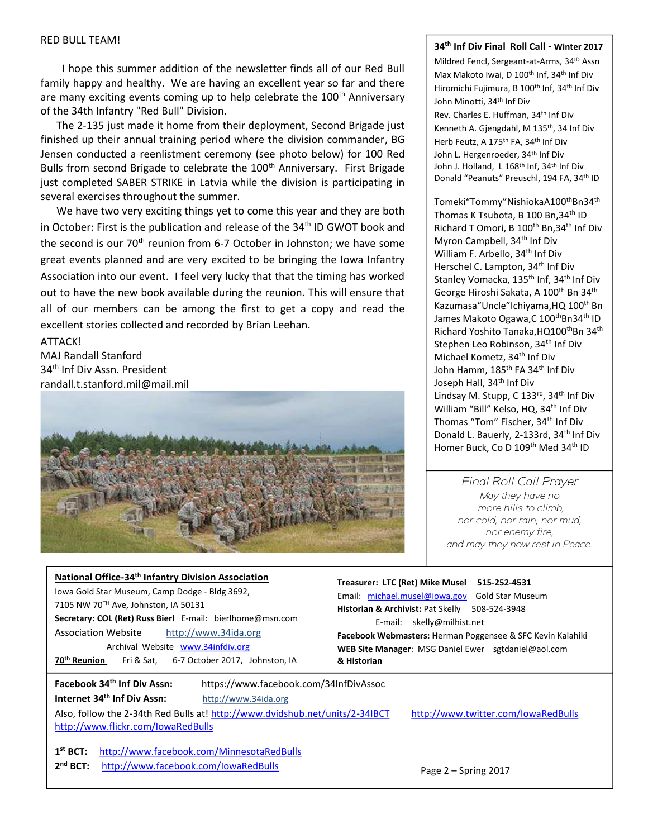#### RED BULL TEAM!

I hope this summer addition of the newsletter finds all of our Red Bull family happy and healthy. We are having an excellent year so far and there are many exciting events coming up to help celebrate the 100<sup>th</sup> Anniversary of the 34th Infantry "Red Bull" Division.

Jensen conducted a reenlistment ceremony (see photo below) for 100 Red The 2-135 just made it home from their deployment, Second Brigade just finished up their annual training period where the division commander, BG Bulls from second Brigade to celebrate the 100<sup>th</sup> Anniversary. First Brigade just completed SABER STRIKE in Latvia while the division is participating in several exercises throughout the summer.

We have two very exciting things yet to come this year and they are both in October: First is the publication and release of the  $34<sup>th</sup>$  ID GWOT book and the second is our 70<sup>th</sup> reunion from 6-7 October in Johnston; we have some great events planned and are very excited to be bringing the Iowa Infantry Association into our event. I feel very lucky that that the timing has worked out to have the new book available during the reunion. This will ensure that all of our members can be among the first to get a copy and read the excellent stories collected and recorded by Brian Leehan.

ATTACK! MAJ Randall Stanford 34<sup>th</sup> Inf Div Assn. President randall.t.stanford.mil@mail.mil



#### **34th Inf Div Final Roll Call - Winter 2017**

Mildred Fencl, Sergeant-at-Arms, 34<sup>ID</sup> Assn Max Makoto Iwai, D 100<sup>th</sup> Inf, 34<sup>th</sup> Inf Div Hiromichi Fujimura, B 100<sup>th</sup> Inf, 34<sup>th</sup> Inf Div John Minotti, 34th Inf Div

Rev. Charles E. Huffman, 34th Inf Div Kenneth A. Gjengdahl, M 135<sup>th</sup>, 34 Inf Div Herb Feutz, A 175<sup>th</sup> FA, 34<sup>th</sup> Inf Div John L. Hergenroeder, 34<sup>th</sup> Inf Div John J. Holland, L 168<sup>th</sup> Inf, 34<sup>th</sup> Inf Div Donald "Peanuts" Preuschl, 194 FA, 34<sup>th</sup> ID

Tomeki"Tommy"NishiokaA100<sup>th</sup>Bn34<sup>th</sup> Thomas K Tsubota, B 100 Bn, 34<sup>th</sup> ID Richard T Omori, B 100th Bn,34th Inf Div Myron Campbell, 34<sup>th</sup> Inf Div William F. Arbello, 34<sup>th</sup> Inf Div Herschel C. Lampton, 34th Inf Div Stanley Vomacka, 135<sup>th</sup> Inf, 34<sup>th</sup> Inf Div George Hiroshi Sakata, A 100<sup>th</sup> Bn 34<sup>th</sup> Kazumasa "Uncle" Ichiyama, HQ 100<sup>th</sup> Bn James Makoto Ogawa, C 100<sup>th</sup>Bn34<sup>th</sup> ID Richard Yoshito Tanaka, HQ100<sup>th</sup>Bn 34<sup>th</sup> Stephen Leo Robinson, 34<sup>th</sup> Inf Div Michael Kometz, 34th Inf Div John Hamm, 185<sup>th</sup> FA 34<sup>th</sup> Inf Div Joseph Hall, 34<sup>th</sup> Inf Div Lindsay M. Stupp, C 133rd, 34<sup>th</sup> Inf Div William "Bill" Kelso, HQ, 34<sup>th</sup> Inf Div Thomas "Tom" Fischer, 34<sup>th</sup> Inf Div Donald L. Bauerly, 2-133rd, 34<sup>th</sup> Inf Div Homer Buck, Co D 109<sup>th</sup> Med 34<sup>th</sup> ID

#### *Final Roll Call Prayer*

*May they have no more hills to climb, nor cold, nor rain, nor mud, nor enemy fire, and may they now rest in Peace.*

| National Office-34 <sup>th</sup> Infantry Division Association<br>Iowa Gold Star Museum, Camp Dodge - Bldg 3692,<br>7105 NW 70TH Ave, Johnston, IA 50131<br>Secretary: COL (Ret) Russ Bierl E-mail: bierlhome@msn.com<br><b>Association Website</b><br>http://www.34ida.org<br>Archival Website www.34infdiv.org<br>6-7 October 2017, Johnston, IA<br>70 <sup>th</sup> Reunion<br>Fri & Sat, | Treasurer: LTC (Ret) Mike Musel<br>515-252-4531<br>Email: michael.musel@iowa.gov<br><b>Gold Star Museum</b><br>Historian & Archivist: Pat Skelly<br>508-524-3948<br>skelly@milhist.net<br>E-mail:<br>Facebook Webmasters: Herman Poggensee & SFC Kevin Kalahiki<br>WEB Site Manager: MSG Daniel Ewer sgtdaniel@aol.com<br>& Historian |
|----------------------------------------------------------------------------------------------------------------------------------------------------------------------------------------------------------------------------------------------------------------------------------------------------------------------------------------------------------------------------------------------|---------------------------------------------------------------------------------------------------------------------------------------------------------------------------------------------------------------------------------------------------------------------------------------------------------------------------------------|
| Facebook 34 <sup>th</sup> Inf Div Assn:<br>https://www.facebook.com/34InfDivAssoc<br>Internet 34 <sup>th</sup> Inf Div Assn:<br>http://www.34ida.org<br>Also, follow the 2-34th Red Bulls at! http://www.dvidshub.net/units/2-34IBCT<br>http://www.flickr.com/lowaRedBulls<br>http://www.facebook.com/MinnesotaRedBulls<br>$1st$ BCT:                                                        | http://www.twitter.com/lowaRedBulls                                                                                                                                                                                                                                                                                                   |

**2<sup>nd</sup> BCT:** <http://www.facebook.com/IowaRedBulls> Page 2 – Spring 2017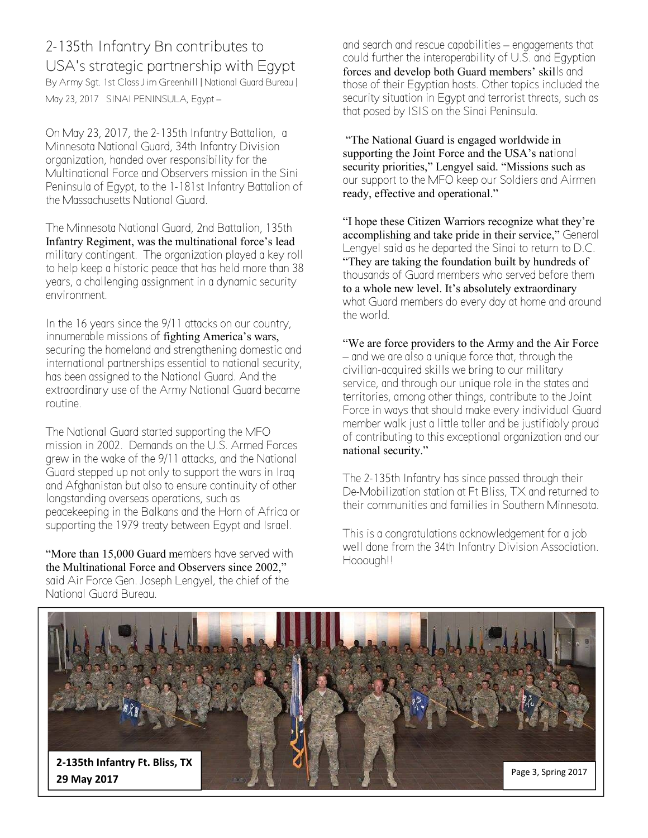## 2-135th Infantry Bn contributes to USA's strategic partnership with Egypt

By Army Sgt. 1st Class Jim Greenhill | National Guard Bureau | May 23, 2017 SINAI PENINSULA, Egypt –

On May 23, 2017, the 2-135th Infantry Battalion, a Minnesota National Guard, 34th Infantry Division organization, handed over responsibility for the Multinational Force and Observers mission in the Sini Peninsula of Egypt, to the 1-181st Infantry Battalion of the Massachusetts National Guard.

The Minnesota National Guard, 2nd Battalion, 135th Infantry Regiment, was the multinational force's lead military contingent. The organization played a key roll to help keep a historic peace that has held more than 38 years, a challenging assignment in a dynamic security environment.

In the 16 years since the 9/11 attacks on our country, innumerable missions of fighting America's wars, securing the homeland and strengthening domestic and international partnerships essential to national security, has been assigned to the National Guard. And the extraordinary use of the Army National Guard became routine.

The National Guard started supporting the MFO mission in 2002. Demands on the U.S. Armed Forces grew in the wake of the 9/11 attacks, and the National Guard stepped up not only to support the wars in Iraq and Afghanistan but also to ensure continuity of other longstanding overseas operations, such as peacekeeping in the Balkans and the Horn of Africa or supporting the 1979 treaty between Egypt and Israel.

"More than 15,000 Guard members have served with the Multinational Force and Observers since 2002," said Air Force Gen. Joseph Lengyel, the chief of the National Guard Bureau.

and search and rescue capabilities – engagements that could further the interoperability of U.S. and Egyptian forces and develop both Guard members' skills and those of their Egyptian hosts. Other topics included the security situation in Egypt and terrorist threats, such as that posed by ISIS on the Sinai Peninsula.

"The National Guard is engaged worldwide in supporting the Joint Force and the USA's national security priorities," Lengyel said. "Missions such as our support to the MFO keep our Soldiers and Airmen ready, effective and operational."

"I hope these Citizen Warriors recognize what they're accomplishing and take pride in their service," General Lengyel said as he departed the Sinai to return to D.C. "They are taking the foundation built by hundreds of thousands of Guard members who served before them to a whole new level. It's absolutely extraordinary what Guard members do every day at home and around the world.

"We are force providers to the Army and the Air Force – and we are also a unique force that, through the civilian-acquired skills we bring to our military service, and through our unique role in the states and territories, among other things, contribute to the Joint Force in ways that should make every individual Guard member walk just a little taller and be justifiably proud of contributing to this exceptional organization and our national security."

The 2-135th Infantry has since passed through their De-Mobilization station at Ft Bliss, TX and returned to their communities and families in Southern Minnesota.

This is a congratulations acknowledgement for a job well done from the 34th Infantry Division Association. Hooough!!

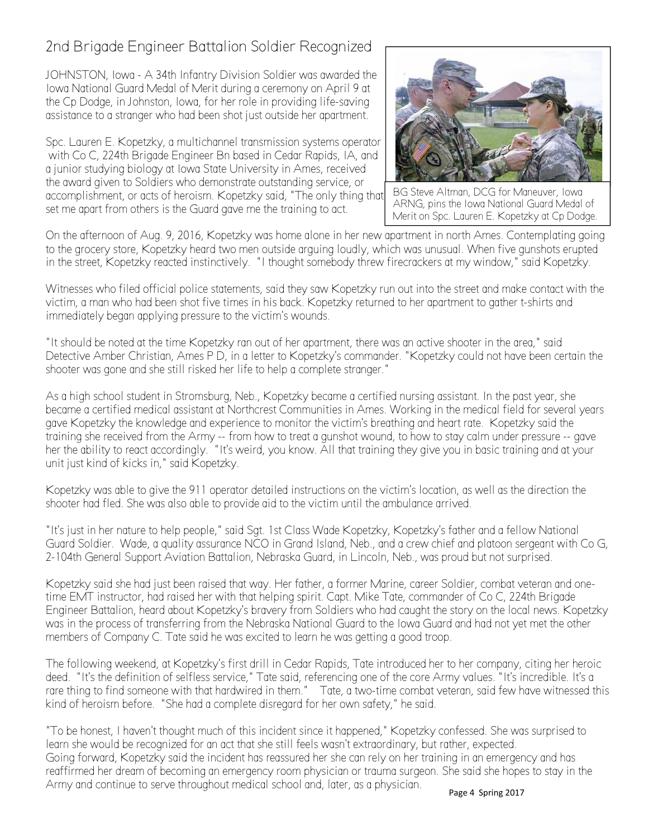## 2nd Brigade Engineer Battalion Soldier Recognized

JOHNSTON, Iowa - A 34th Infantry Division Soldier was awarded the Iowa National Guard Medal of Merit during a ceremony on April 9 at the Cp Dodge, in Johnston, Iowa, for her role in providing life-saving assistance to a stranger who had been shot just outside her apartment.

Spc. Lauren E. Kopetzky, a multichannel transmission systems operator with Co C, 224th Brigade Engineer Bn based in Cedar Rapids, IA, and a junior studying biology at Iowa State University in Ames, received the award given to Soldiers who demonstrate outstanding service, or accomplishment, or acts of heroism. Kopetzky said, "The only thing that set me apart from others is the Guard gave me the training to act.



BG Steve Altman, DCG for Maneuver, Iowa ARNG, pins the Iowa National Guard Medal of Merit on Spc. Lauren E. Kopetzky at Cp Dodge.

On the afternoon of Aug. 9, 2016, Kopetzky was home alone in her new apartment in north Ames. Contemplating going to the grocery store, Kopetzky heard two men outside arguing loudly, which was unusual. When five gunshots erupted in the street, Kopetzky reacted instinctively. "I thought somebody threw firecrackers at my window," said Kopetzky.

Witnesses who filed official police statements, said they saw Kopetzky run out into the street and make contact with the victim, a man who had been shot five times in his back. Kopetzky returned to her apartment to gather t-shirts and immediately began applying pressure to the victim's wounds.

"It should be noted at the time Kopetzky ran out of her apartment, there was an active shooter in the area," said Detective Amber Christian, Ames P D, in a letter to Kopetzky's commander. "Kopetzky could not have been certain the shooter was gone and she still risked her life to help a complete stranger."

As a high school student in Stromsburg, Neb., Kopetzky became a certified nursing assistant. In the past year, she became a certified medical assistant at Northcrest Communities in Ames. Working in the medical field for several years gave Kopetzky the knowledge and experience to monitor the victim's breathing and heart rate. Kopetzky said the training she received from the Army -- from how to treat a gunshot wound, to how to stay calm under pressure -- gave her the ability to react accordingly. "It's weird, you know. All that training they give you in basic training and at your unit just kind of kicks in," said Kopetzky.

Kopetzky was able to give the 911 operator detailed instructions on the victim's location, as well as the direction the shooter had fled. She was also able to provide aid to the victim until the ambulance arrived.

"It's just in her nature to help people," said Sgt. 1st Class Wade Kopetzky, Kopetzky's father and a fellow National Guard Soldier. Wade, a quality assurance NCO in Grand Island, Neb., and a crew chief and platoon sergeant with Co G, 2-104th General Support Aviation Battalion, Nebraska Guard, in Lincoln, Neb., was proud but not surprised.

Kopetzky said she had just been raised that way. Her father, a former Marine, career Soldier, combat veteran and onetime EMT instructor, had raised her with that helping spirit. Capt. Mike Tate, commander of Co C, 224th Brigade Engineer Battalion, heard about Kopetzky's bravery from Soldiers who had caught the story on the local news. Kopetzky was in the process of transferring from the Nebraska National Guard to the Iowa Guard and had not yet met the other members of Company C. Tate said he was excited to learn he was getting a good troop.

The following weekend, at Kopetzky's first drill in Cedar Rapids, Tate introduced her to her company, citing her heroic deed. "It's the definition of selfless service," Tate said, referencing one of the core Army values. "It's incredible. It's a rare thing to find someone with that hardwired in them." Tate, a two-time combat veteran, said few have witnessed this kind of heroism before. "She had a complete disregard for her own safety," he said.

"To be honest, I haven't thought much of this incident since it happened," Kopetzky confessed. She was surprised to learn she would be recognized for an act that she still feels wasn't extraordinary, but rather, expected. Going forward, Kopetzky said the incident has reassured her she can rely on her training in an emergency and has reaffirmed her dream of becoming an emergency room physician or trauma surgeon. She said she hopes to stay in the Army and continue to serve throughout medical school and, later, as a physician.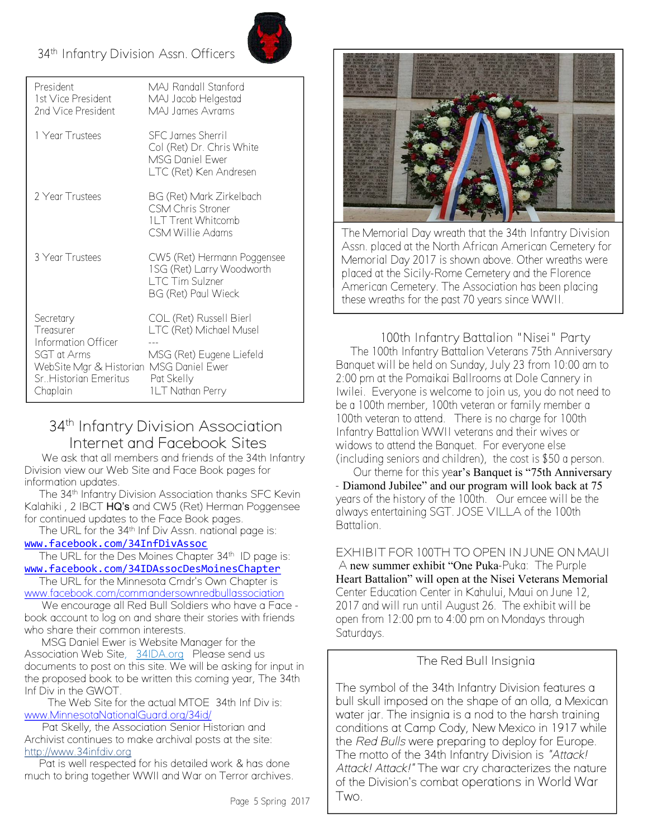# s 34th Infantry Division Assn. Officers



| President<br>1st Vice President<br>2nd Vice President                                                                                         | MAJ Randall Stanford<br>MAJ Jacob Helgestad<br>MAJ James Avrams                                                  |
|-----------------------------------------------------------------------------------------------------------------------------------------------|------------------------------------------------------------------------------------------------------------------|
| 1 Year Trustees                                                                                                                               | SEC James Sherril<br>Col (Ret) Dr. Chris White<br>MSG Daniel Ewer<br>LTC (Ret) Ken Andresen                      |
| 2 Year Trustees                                                                                                                               | BG (Ret) Mark Zirkelbach<br><b>CSM Chris Stroner</b><br><b>1LT Trent Whitcomb</b><br>CSM Willie Adams            |
| 3 Year Trustees                                                                                                                               | CW5 (Ret) Hermann Poggensee<br>1SG (Ret) Larry Woodworth<br>LTC Tim Sulzner<br>BG (Ret) Paul Wieck               |
| Secretary<br>Treasurer<br>Information Officer<br>SGT at Arms<br>WebSite Mgr & Historian MSG Daniel Ewer<br>Sr. Historian Emeritus<br>Chaplain | COL (Ret) Russell Bierl<br>LTC (Ret) Michael Musel<br>MSG (Ret) Eugene Liefeld<br>Pat Skelly<br>1LT Nathan Perry |

### 34<sup>th</sup> Infantry Division Association Internet and Facebook Sites

We ask that all members and friends of the 34th Infantry Division view our Web Site and Face Book pages for information updates.

The 34<sup>th</sup> Infantry Division Association thanks SFC Kevin Kalahiki , 2 IBCT HQ's and CW5 (Ret) Herman Poggensee for continued updates to the Face Book pages.

The URL for the 34<sup>th</sup> Inf Div Assn. national page is:

[www.facebook.com/34InfDivAssoc](http://www.facebook.com/34InfDivAssoc)

The URL for the Des Moines Chapter 34<sup>th</sup> ID page is: [www.facebook.com/34IDAssocDesMoinesChapter](http://www.facebook.com/34IDAssocDesMoinesChapter)

The URL for the Minnesota Cmdr's Own Chapter is [www.facebook.com/commandersownredbullassociation](http://www.facebook.com/commandersownredbullassociation)

We encourage all Red Bull Soldiers who have a Face book account to log on and share their stories with friends who share their common interests.

MSG Daniel Ewer is Website Manager for the Association Web Site, 34IDA.org Please send us documents to post on this site. We will be asking for input in the proposed book to be written this coming year, The 34th Inf Div in the GWOT.

The Web Site for the actual MTOE 34th Inf Div is: [www.MinnesotaNationalGuard.org/34id/](http://www.minnesotanationalguard.org/34id/)

Pat Skelly, the Association Senior Historian and Archivist continues to make archival posts at the site: http://www.34infdiv.org

Pat is well respected for his detailed work & has done much to bring together WWII and War on Terror archives.



The Memorial Day wreath that the 34th Infantry Division Assn. placed at the North African American Cemetery for Memorial Day 2017 is shown above. Other wreaths were placed at the Sicily-Rome Cemetery and the Florence American Cemetery. The Association has been placing these wreaths for the past 70 years since WWII.

100th Infantry Battalion "Nisei" Party The 100th Infantry Battalion Veterans 75th Anniversary Banquet will be held on Sunday, July 23 from 10:00 am to 2:00 pm at the Pomaikai Ballrooms at Dole Cannery in Iwilei. Everyone is welcome to join us, you do not need to be a 100th member, 100th veteran or family member a 100th veteran to attend. There is no charge for 100th Infantry Battalion WWII veterans and their wives or widows to attend the Banquet. For everyone else (including seniors and children), the cost is \$50 a person.

Our theme for this year's Banquet is "75th Anniversary - Diamond Jubilee" and our program will look back at 75 years of the history of the 100th. Our emcee will be the always entertaining SGT. JOSE VILLA of the 100th Battalion.

EXHIBIT FOR 100TH TO OPEN IN JUNE ON MAUI A new summer exhibit "One Puka-Puka: The Purple Heart Battalion" will open at the Nisei Veterans Memorial Center Education Center in Kahului, Maui on June 12, 2017 and will run until August 26. The exhibit will be open from 12:00 pm to 4:00 pm on Mondays through Saturdays.

#### The Red Bull Insignia

The symbol of the 34th Infantry Division features a bull skull imposed on the shape of an olla, a Mexican water jar. The insignia is a nod to the harsh training conditions at Camp Cody, New Mexico in 1917 while the *Red Bulls* were preparing to deploy for Europe. The motto of the 34th Infantry Division is *"Attack! Attack! Attack!"* The war cry characterizes the nature of the Division's combat operations in World War Two.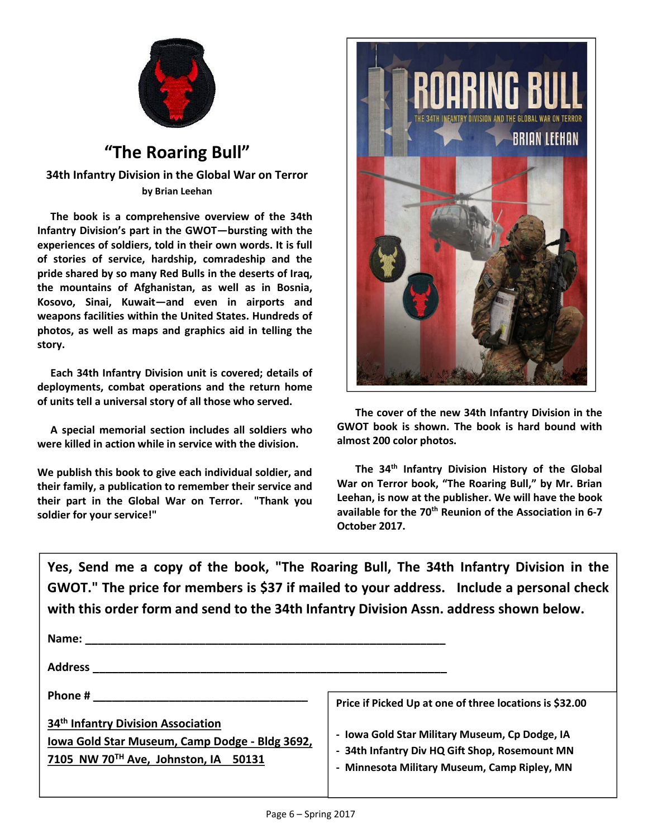

## **"The Roaring Bull"**

**34th Infantry Division in the Global War on Terror by Brian Leehan** 

**The book is a comprehensive overview of the 34th Infantry Division's part in the GWOT—bursting with the experiences of soldiers, told in their own words. It is full of stories of service, hardship, comradeship and the pride shared by so many Red Bulls in the deserts of Iraq, the mountains of Afghanistan, as well as in Bosnia, Kosovo, Sinai, Kuwait—and even in airports and weapons facilities within the United States. Hundreds of photos, as well as maps and graphics aid in telling the story.** 

**Each 34th Infantry Division unit is covered; details of deployments, combat operations and the return home of units tell a universal story of all those who served.**

**A special memorial section includes all soldiers who were killed in action while in service with the division.**

**We publish this book to give each individual soldier, and their family, a publication to remember their service and their part in the Global War on Terror. "Thank you soldier for your service!"**



**The cover of the new 34th Infantry Division in the GWOT book is shown. The book is hard bound with almost 200 color photos.**

**The 34th Infantry Division History of the Global War on Terror book, "The Roaring Bull," by Mr. Brian Leehan, is now at the publisher. We will have the book available for the 70th Reunion of the Association in 6-7 October 2017.**

**Yes, Send me a copy of the book, "The Roaring Bull, The 34th Infantry Division in the GWOT." The price for members is \$37 if mailed to your address. Include a personal check with this order form and send to the 34th Infantry Division Assn. address shown below.**

| Name:                                                                                                                                    |                                                                                                                                                  |
|------------------------------------------------------------------------------------------------------------------------------------------|--------------------------------------------------------------------------------------------------------------------------------------------------|
| <b>Address</b>                                                                                                                           |                                                                                                                                                  |
| Phone #                                                                                                                                  | Price if Picked Up at one of three locations is \$32.00                                                                                          |
| 34 <sup>th</sup> Infantry Division Association<br>Iowa Gold Star Museum, Camp Dodge - Bldg 3692,<br>7105 NW 70TH Ave, Johnston, IA 50131 | - Iowa Gold Star Military Museum, Cp Dodge, IA<br>- 34th Infantry Div HQ Gift Shop, Rosemount MN<br>- Minnesota Military Museum, Camp Ripley, MN |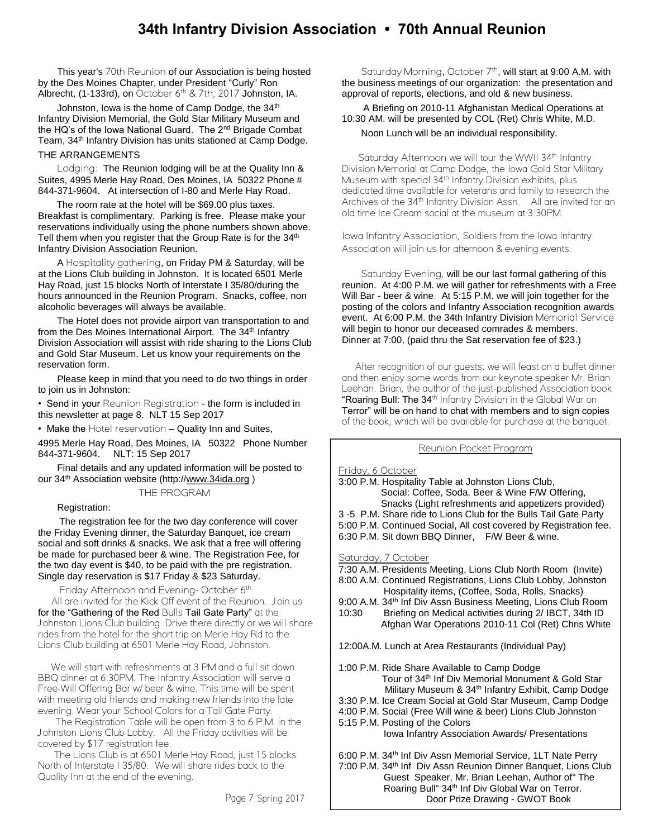### **34th Infantry Division Association • 70th Annual Reunion**

 This year's 70th Reunion of our Association is being hosted by the Des Moines Chapter, under President "Curly" Ron Albrecht, (1-133rd), on October 6th & 7th, 2017 Johnston, IA.

Johnston, Iowa is the home of Camp Dodge, the 34<sup>th</sup> Infantry Division Memorial, the Gold Star Military Museum and the HQ's of the Iowa National Guard. The 2<sup>nd</sup> Brigade Combat Team, 34<sup>th</sup> Infantry Division has units stationed at Camp Dodge. THE ARRANGEMENTS

Lodging: The Reunion lodging will be at the Quality Inn & Suites, 4995 Merle Hay Road, Des Moines, IA 50322 Phone # 844-371-9604. At intersection of I-80 and Merle Hay Road.

 The room rate at the hotel will be \$69.00 plus taxes. Breakfast is complimentary. Parking is free. Please make your reservations individually using the phone numbers shown above. Tell them when you register that the Group Rate is for the 34<sup>th</sup> Infantry Division Association Reunion.

A Hospitality gathering, on Friday PM & Saturday, will be at the Lions Club building in Johnston. It is located 6501 Merle Hay Road, just 15 blocks North of Interstate I 35/80/during the hours announced in the Reunion Program. Snacks, coffee, non alcoholic beverages will always be available.

 The Hotel does not provide airport van transportation to and from the Des Moines International Airport. The 34<sup>th</sup> Infantry Division Association will assist with ride sharing to the Lions Club and Gold Star Museum. Let us know your requirements on the reservation form.

 Please keep in mind that you need to do two things in order to join us in Johnston:

• Send in your Reunion Registration - the form is included in this newsletter at page 8. NLT 15 Sep 2017

• Make the Hotel reservation - Quality Inn and Suites,

4995 Merle Hay Road, Des Moines, IA 50322 Phone Number 844-371-9604. NLT: 15 Sep 2017

 Final details and any updated information will be posted to our 34<sup>th</sup> Association website (http://www.34ida.org)

#### THE PROGRAM

Registration:

 The registration fee for the two day conference will cover the Friday Evening dinner, the Saturday Banquet, ice cream social and soft drinks & snacks. We ask that a free will offering be made for purchased beer & wine. The Registration Fee, for the two day event is \$40, to be paid with the pre registration. Single day reservation is \$17 Friday & \$23 Saturday.

Friday Afternoon and Evening-October 6<sup>th</sup> All are invited for the Kick Off event of the Reunion. Join us for the "Gathering of the Red Bulls Tail Gate Party" at the Johnston Lions Club building. Drive there directly or we will share rides from the hotel for the short trip on Merle Hay Rd to the Lions Club building at 6501 Merle Hay Road, Johnston.

 We will start with refreshments at 3 PM and a full sit down BBQ dinner at 6:30PM. The Infantry Association will serve a Free-Will Offering Bar w/ beer & wine. This time will be spent with meeting old friends and making new friends into the late evening. Wear your School Colors for a Tail Gate Party.

The Registration Table will be open from 3 to 6 P.M. in the Johnston Lions Club Lobby. All the Friday activities will be covered by \$17 registration fee.

 The Lions Club is at 6501 Merle Hay Road, just 15 blocks North of Interstate I 35/80. We will share rides back to the Quality Inn at the end of the evening.

Saturday Morning, October 7<sup>th</sup>, will start at 9:00 A.M. with the business meetings of our organization: the presentation and approval of reports, elections, and old & new business.

 A Briefing on 2010-11 Afghanistan Medical Operations at 10:30 AM. will be presented by COL (Ret) Chris White, M.D. Noon Lunch will be an individual responsibility.

Saturday Afternoon we will tour the WWII 34th Infantry Division Memorial at Camp Dodge, the Iowa Gold Star Military Museum with special 34<sup>th</sup> Infantry Division exhibits, plus dedicated time available for veterans and family to research the Archives of the 34<sup>th</sup> Infantry Division Assn. All are invited for an old time Ice Cream social at the museum at 3:30PM.

Iowa Infantry Association, Soldiers from the Iowa Infantry Association will join us for afternoon & evening events.

Saturday Evening, will be our last formal gathering of this reunion. At 4:00 P.M. we will gather for refreshments with a Free Will Bar - beer & wine. At 5:15 P.M. we will join together for the posting of the colors and Infantry Association recognition awards event. At 6:00 P.M. the 34th Infantry Division Memorial Service will begin to honor our deceased comrades & members. Dinner at 7:00, (paid thru the Sat reservation fee of \$23.)

 After recognition of our guests, we will feast on a buffet dinner and then enjoy some words from our keynote speaker Mr. Brian Leehan. Brian, the author of the just-published Association book "Roaring Bull: The 34<sup>th</sup> Infantry Division in the Global War on Terror" will be on hand to chat with members and to sign copies of the book, which will be available for purchase at the banquet.

Reunion Pocket Program

Friday, 6 October

3:00 P.M. Hospitality Table at Johnston Lions Club, Social: Coffee, Soda, Beer & Wine F/W Offering, Snacks (Light refreshments and appetizers provided) 3 -5 P.M. Share ride to Lions Club for the Bulls Tail Gate Party 5:00 P.M. Continued Social, All cost covered by Registration fee. 6:30 P.M. Sit down BBQ Dinner, F/W Beer & wine. Saturday, 7 October 7:30 A.M. Presidents Meeting, Lions Club North Room (Invite) 8:00 A.M. Continued Registrations, Lions Club Lobby, Johnston Hospitality items, (Coffee, Soda, Rolls, Snacks) 9:00 A.M. 34<sup>th</sup> Inf Div Assn Business Meeting, Lions Club Room 10:30 Briefing on Medical activities during 2/ IBCT, 34th ID Afghan War Operations 2010-11 Col (Ret) Chris White 12:00A.M. Lunch at Area Restaurants (Individual Pay) 1:00 P.M. Ride Share Available to Camp Dodge Tour of 34<sup>th</sup> Inf Div Memorial Monument & Gold Star Military Museum & 34<sup>th</sup> Infantry Exhibit, Camp Dodge 3:30 P.M. Ice Cream Social at Gold Star Museum, Camp Dodge 4:00 P.M. Social (Free Will wine & beer) Lions Club Johnston 5:15 P.M. Posting of the Colors Iowa Infantry Association Awards/ Presentations 6:00 P.M. 34<sup>th</sup> Inf Div Assn Memorial Service, 1LT Nate Perry 7:00 P.M. 34<sup>th</sup> Inf Div Assn Reunion Dinner Banquet, Lions Club Guest Speaker, Mr. Brian Leehan, Author of" The Roaring Bull" 34<sup>th</sup> Inf Div Global War on Terror.

Page 7 Spring 2017 | **Door Prize Drawing - GWOT Book**